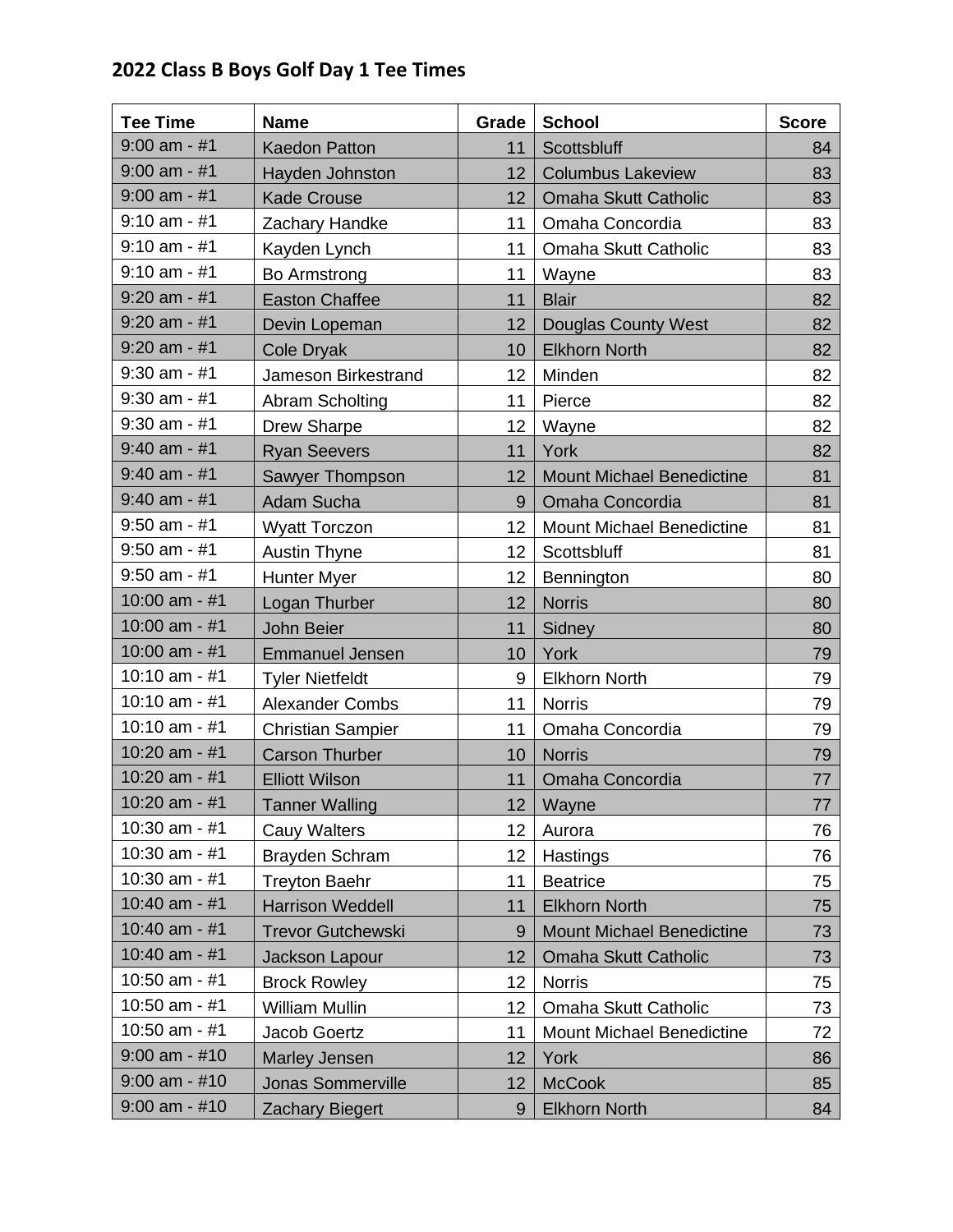## **2022 Class B Boys Golf Day 1 Tee Times**

| <b>Tee Time</b> | <b>Name</b>              | <b>Grade</b>    | <b>School</b>                    | <b>Score</b> |
|-----------------|--------------------------|-----------------|----------------------------------|--------------|
| $9:00$ am - #1  | <b>Kaedon Patton</b>     | 11              | Scottsbluff                      | 84           |
| $9:00$ am - #1  | Hayden Johnston          | 12              | <b>Columbus Lakeview</b>         | 83           |
| $9:00$ am - #1  | <b>Kade Crouse</b>       | 12 <sup>2</sup> | Omaha Skutt Catholic             | 83           |
| $9:10$ am - #1  | Zachary Handke           | 11              | Omaha Concordia                  | 83           |
| $9:10$ am - #1  | Kayden Lynch             | 11              | Omaha Skutt Catholic             | 83           |
| $9:10$ am - #1  | Bo Armstrong             | 11              | Wayne                            | 83           |
| $9:20$ am - #1  | <b>Easton Chaffee</b>    | 11              | <b>Blair</b>                     | 82           |
| $9:20$ am - #1  | Devin Lopeman            | 12              | <b>Douglas County West</b>       | 82           |
| $9:20$ am - #1  | <b>Cole Dryak</b>        | 10              | <b>Elkhorn North</b>             | 82           |
| $9:30$ am - #1  | Jameson Birkestrand      | 12              | Minden                           | 82           |
| $9:30$ am - #1  | Abram Scholting          | 11              | Pierce                           | 82           |
| $9:30$ am - #1  | <b>Drew Sharpe</b>       | 12              | Wayne                            | 82           |
| $9:40$ am - #1  | <b>Ryan Seevers</b>      | 11              | York                             | 82           |
| $9:40$ am - #1  | Sawyer Thompson          | 12              | <b>Mount Michael Benedictine</b> | 81           |
| $9:40$ am - #1  | Adam Sucha               | 9               | Omaha Concordia                  | 81           |
| $9:50$ am - #1  | <b>Wyatt Torczon</b>     | 12              | <b>Mount Michael Benedictine</b> | 81           |
| $9:50$ am - #1  | <b>Austin Thyne</b>      | 12              | Scottsbluff                      | 81           |
| $9:50$ am - #1  | <b>Hunter Myer</b>       | 12              | Bennington                       | 80           |
| 10:00 am - $#1$ | Logan Thurber            | 12              | <b>Norris</b>                    | 80           |
| 10:00 am - $#1$ | <b>John Beier</b>        | 11              | Sidney                           | 80           |
| 10:00 am - #1   | <b>Emmanuel Jensen</b>   | 10              | York                             | 79           |
| 10:10 am - #1   | <b>Tyler Nietfeldt</b>   | 9               | <b>Elkhorn North</b>             | 79           |
| 10:10 am - #1   | <b>Alexander Combs</b>   | 11              | <b>Norris</b>                    | 79           |
| 10:10 am - $#1$ | <b>Christian Sampier</b> | 11              | Omaha Concordia                  | 79           |
| 10:20 am - #1   | <b>Carson Thurber</b>    | 10              | <b>Norris</b>                    | 79           |
| 10:20 am - $#1$ | <b>Elliott Wilson</b>    | 11              | Omaha Concordia                  | 77           |
| 10:20 am - $#1$ | <b>Tanner Walling</b>    | 12              | Wayne                            | 77           |
| 10:30 am - #1   | Cauy Walters             | 12              | Aurora                           | 76           |
| 10:30 am - #1   | Brayden Schram           | 12              | Hastings                         | 76           |
| 10:30 am - $#1$ | <b>Treyton Baehr</b>     | 11              | <b>Beatrice</b>                  | 75           |
| $10:40$ am - #1 | <b>Harrison Weddell</b>  | 11              | <b>Elkhorn North</b>             | 75           |
| 10:40 am - #1   | <b>Trevor Gutchewski</b> | 9               | <b>Mount Michael Benedictine</b> | 73           |
| 10:40 am - $#1$ | Jackson Lapour           | 12              | Omaha Skutt Catholic             | 73           |
| 10:50 am - #1   | <b>Brock Rowley</b>      | 12              | <b>Norris</b>                    | 75           |
| 10:50 am - #1   | William Mullin           | 12              | Omaha Skutt Catholic             | 73           |
| 10:50 am - #1   | Jacob Goertz             | 11              | Mount Michael Benedictine        | 72           |
| $9:00$ am - #10 | Marley Jensen            | 12              | York                             | 86           |
| $9:00$ am - #10 | <b>Jonas Sommerville</b> | 12              | <b>McCook</b>                    | 85           |
| $9:00$ am - #10 | <b>Zachary Biegert</b>   | 9               | <b>Elkhorn North</b>             | 84           |